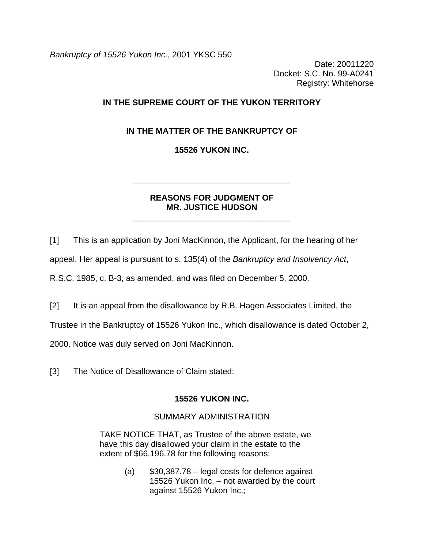*Bankruptcy of 15526 Yukon Inc.*, 2001 YKSC 550

Date: 20011220 Docket: S.C. No. 99-A0241 Registry: Whitehorse

# **IN THE SUPREME COURT OF THE YUKON TERRITORY**

# **IN THE MATTER OF THE BANKRUPTCY OF**

## **15526 YUKON INC.**

\_\_\_\_\_\_\_\_\_\_\_\_\_\_\_\_\_\_\_\_\_\_\_\_\_\_\_\_\_\_\_\_\_\_

## **REASONS FOR JUDGMENT OF MR. JUSTICE HUDSON**

\_\_\_\_\_\_\_\_\_\_\_\_\_\_\_\_\_\_\_\_\_\_\_\_\_\_\_\_\_\_\_\_\_\_

[1] This is an application by Joni MacKinnon, the Applicant, for the hearing of her

appeal. Her appeal is pursuant to s. 135(4) of the *Bankruptcy and Insolvency Act*,

R.S.C. 1985, c. B-3, as amended, and was filed on December 5, 2000.

[2] It is an appeal from the disallowance by R.B. Hagen Associates Limited, the

Trustee in the Bankruptcy of 15526 Yukon Inc., which disallowance is dated October 2,

2000. Notice was duly served on Joni MacKinnon.

[3] The Notice of Disallowance of Claim stated:

#### **15526 YUKON INC.**

### SUMMARY ADMINISTRATION

TAKE NOTICE THAT, as Trustee of the above estate, we have this day disallowed your claim in the estate to the extent of \$66,196.78 for the following reasons:

> $(a)$  \$30,387.78 – legal costs for defence against 15526 Yukon Inc. – not awarded by the court against 15526 Yukon Inc.;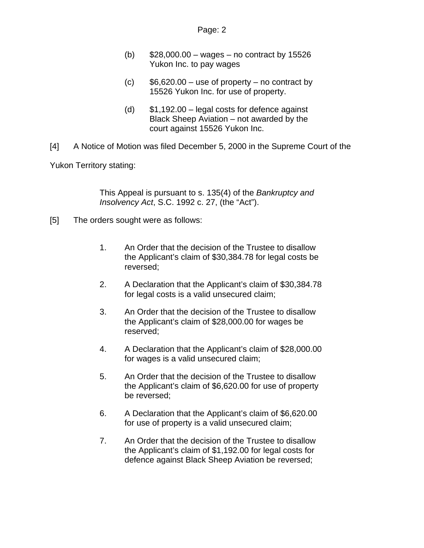- (b)  $$28,000.00 wages no contract by 15526$ Yukon Inc. to pay wages
- $(c)$  \$6,620.00 use of property no contract by 15526 Yukon Inc. for use of property.
- (d) \$1,192.00 legal costs for defence against Black Sheep Aviation – not awarded by the court against 15526 Yukon Inc.
- [4] A Notice of Motion was filed December 5, 2000 in the Supreme Court of the

Yukon Territory stating:

This Appeal is pursuant to s. 135(4) of the *Bankruptcy and Insolvency Act*, S.C. 1992 c. 27, (the "Act").

- [5] The orders sought were as follows:
	- 1. An Order that the decision of the Trustee to disallow the Applicant's claim of \$30,384.78 for legal costs be reversed;
	- 2. A Declaration that the Applicant's claim of \$30,384.78 for legal costs is a valid unsecured claim;
	- 3. An Order that the decision of the Trustee to disallow the Applicant's claim of \$28,000.00 for wages be reserved;
	- 4. A Declaration that the Applicant's claim of \$28,000.00 for wages is a valid unsecured claim;
	- 5. An Order that the decision of the Trustee to disallow the Applicant's claim of \$6,620.00 for use of property be reversed;
	- 6. A Declaration that the Applicant's claim of \$6,620.00 for use of property is a valid unsecured claim;
	- 7. An Order that the decision of the Trustee to disallow the Applicant's claim of \$1,192.00 for legal costs for defence against Black Sheep Aviation be reversed;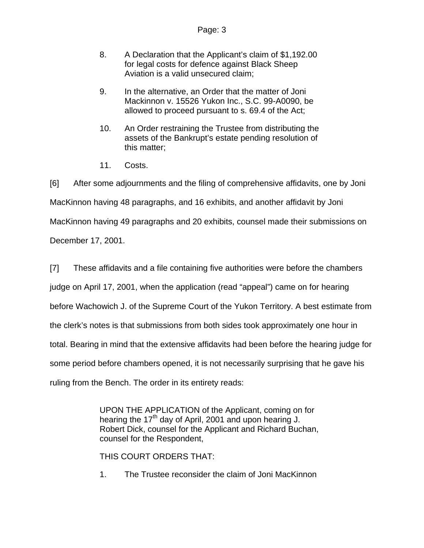- 8. A Declaration that the Applicant's claim of \$1,192.00 for legal costs for defence against Black Sheep Aviation is a valid unsecured claim;
- 9. In the alternative, an Order that the matter of Joni Mackinnon v. 15526 Yukon Inc., S.C. 99-A0090, be allowed to proceed pursuant to s. 69.4 of the Act;
- 10. An Order restraining the Trustee from distributing the assets of the Bankrupt's estate pending resolution of this matter;
- 11. Costs.

[6] After some adjournments and the filing of comprehensive affidavits, one by Joni MacKinnon having 48 paragraphs, and 16 exhibits, and another affidavit by Joni MacKinnon having 49 paragraphs and 20 exhibits, counsel made their submissions on December 17, 2001.

[7] These affidavits and a file containing five authorities were before the chambers judge on April 17, 2001, when the application (read "appeal") came on for hearing before Wachowich J. of the Supreme Court of the Yukon Territory. A best estimate from the clerk's notes is that submissions from both sides took approximately one hour in total. Bearing in mind that the extensive affidavits had been before the hearing judge for some period before chambers opened, it is not necessarily surprising that he gave his ruling from the Bench. The order in its entirety reads:

> UPON THE APPLICATION of the Applicant, coming on for hearing the 17<sup>th</sup> day of April, 2001 and upon hearing J. Robert Dick, counsel for the Applicant and Richard Buchan, counsel for the Respondent,

THIS COURT ORDERS THAT:

1. The Trustee reconsider the claim of Joni MacKinnon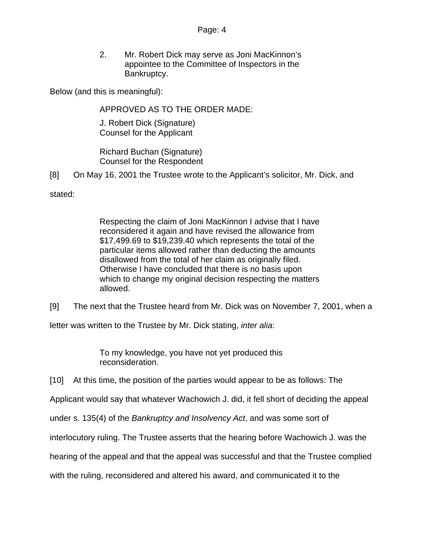#### Page: 4

2. Mr. Robert Dick may serve as Joni MacKinnon's appointee to the Committee of Inspectors in the Bankruptcy.

Below (and this is meaningful):

APPROVED AS TO THE ORDER MADE:

J. Robert Dick (Signature) Counsel for the Applicant

Richard Buchan (Signature) Counsel for the Respondent

[8] On May 16, 2001 the Trustee wrote to the Applicant's solicitor, Mr. Dick, and

stated:

Respecting the claim of Joni MacKinnon I advise that I have reconsidered it again and have revised the allowance from \$17,499.69 to \$19,239.40 which represents the total of the particular items allowed rather than deducting the amounts disallowed from the total of her claim as originally filed. Otherwise I have concluded that there is no basis upon which to change my original decision respecting the matters allowed.

[9] The next that the Trustee heard from Mr. Dick was on November 7, 2001, when a

letter was written to the Trustee by Mr. Dick stating, *inter alia*:

To my knowledge, you have not yet produced this reconsideration.

[10] At this time, the position of the parties would appear to be as follows: The

Applicant would say that whatever Wachowich J. did, it fell short of deciding the appeal

under s. 135(4) of the *Bankruptcy and Insolvency Act*, and was some sort of

interlocutory ruling. The Trustee asserts that the hearing before Wachowich J. was the

hearing of the appeal and that the appeal was successful and that the Trustee complied

with the ruling, reconsidered and altered his award, and communicated it to the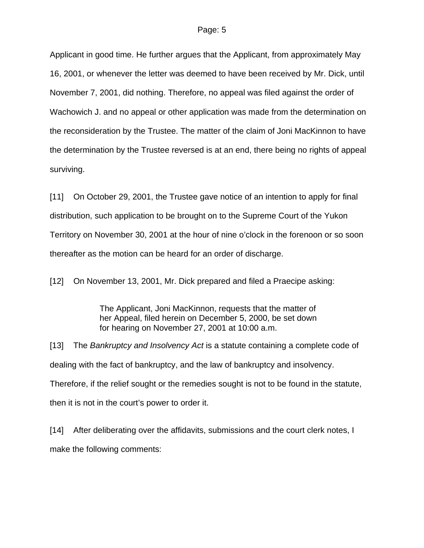Applicant in good time. He further argues that the Applicant, from approximately May 16, 2001, or whenever the letter was deemed to have been received by Mr. Dick, until November 7, 2001, did nothing. Therefore, no appeal was filed against the order of Wachowich J. and no appeal or other application was made from the determination on the reconsideration by the Trustee. The matter of the claim of Joni MacKinnon to have the determination by the Trustee reversed is at an end, there being no rights of appeal surviving.

[11] On October 29, 2001, the Trustee gave notice of an intention to apply for final distribution, such application to be brought on to the Supreme Court of the Yukon Territory on November 30, 2001 at the hour of nine o'clock in the forenoon or so soon thereafter as the motion can be heard for an order of discharge.

[12] On November 13, 2001, Mr. Dick prepared and filed a Praecipe asking:

The Applicant, Joni MacKinnon, requests that the matter of her Appeal, filed herein on December 5, 2000, be set down for hearing on November 27, 2001 at 10:00 a.m.

[13] The *Bankruptcy and Insolvency Act* is a statute containing a complete code of dealing with the fact of bankruptcy, and the law of bankruptcy and insolvency. Therefore, if the relief sought or the remedies sought is not to be found in the statute, then it is not in the court's power to order it.

[14] After deliberating over the affidavits, submissions and the court clerk notes, I make the following comments: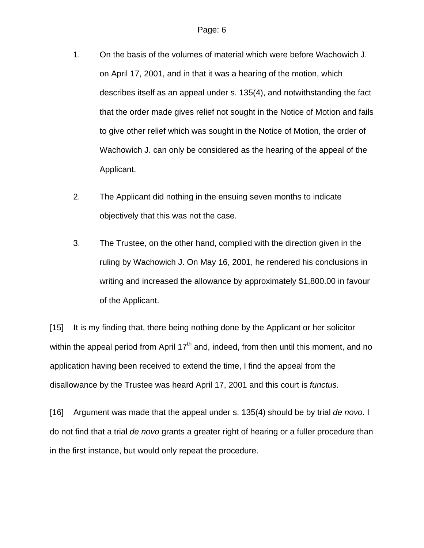- 1. On the basis of the volumes of material which were before Wachowich J. on April 17, 2001, and in that it was a hearing of the motion, which describes itself as an appeal under s. 135(4), and notwithstanding the fact that the order made gives relief not sought in the Notice of Motion and fails to give other relief which was sought in the Notice of Motion, the order of Wachowich J. can only be considered as the hearing of the appeal of the Applicant.
- 2. The Applicant did nothing in the ensuing seven months to indicate objectively that this was not the case.
- 3. The Trustee, on the other hand, complied with the direction given in the ruling by Wachowich J. On May 16, 2001, he rendered his conclusions in writing and increased the allowance by approximately \$1,800.00 in favour of the Applicant.

[15] It is my finding that, there being nothing done by the Applicant or her solicitor within the appeal period from April  $17<sup>th</sup>$  and, indeed, from then until this moment, and no application having been received to extend the time, I find the appeal from the disallowance by the Trustee was heard April 17, 2001 and this court is *functus*.

[16] Argument was made that the appeal under s. 135(4) should be by trial *de novo*. I do not find that a trial *de novo* grants a greater right of hearing or a fuller procedure than in the first instance, but would only repeat the procedure.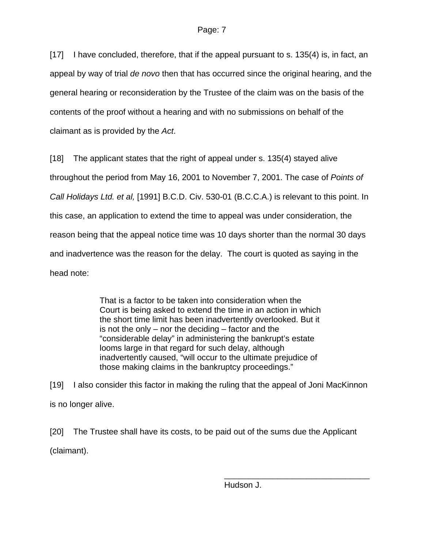[17] I have concluded, therefore, that if the appeal pursuant to s. 135(4) is, in fact, an appeal by way of trial *de novo* then that has occurred since the original hearing, and the general hearing or reconsideration by the Trustee of the claim was on the basis of the contents of the proof without a hearing and with no submissions on behalf of the claimant as is provided by the *Act*.

[18] The applicant states that the right of appeal under s. 135(4) stayed alive throughout the period from May 16, 2001 to November 7, 2001. The case of *Points of Call Holidays Ltd. et al,* [1991] B.C.D. Civ. 530-01 (B.C.C.A.) is relevant to this point. In this case, an application to extend the time to appeal was under consideration, the reason being that the appeal notice time was 10 days shorter than the normal 30 days and inadvertence was the reason for the delay. The court is quoted as saying in the head note:

> That is a factor to be taken into consideration when the Court is being asked to extend the time in an action in which the short time limit has been inadvertently overlooked. But it is not the only – nor the deciding – factor and the "considerable delay" in administering the bankrupt's estate looms large in that regard for such delay, although inadvertently caused, "will occur to the ultimate prejudice of those making claims in the bankruptcy proceedings."

[19] I also consider this factor in making the ruling that the appeal of Joni MacKinnon is no longer alive.

[20] The Trustee shall have its costs, to be paid out of the sums due the Applicant (claimant).

 $\overline{\phantom{a}}$  , and the contract of the contract of the contract of the contract of the contract of the contract of the contract of the contract of the contract of the contract of the contract of the contract of the contrac Hudson J.